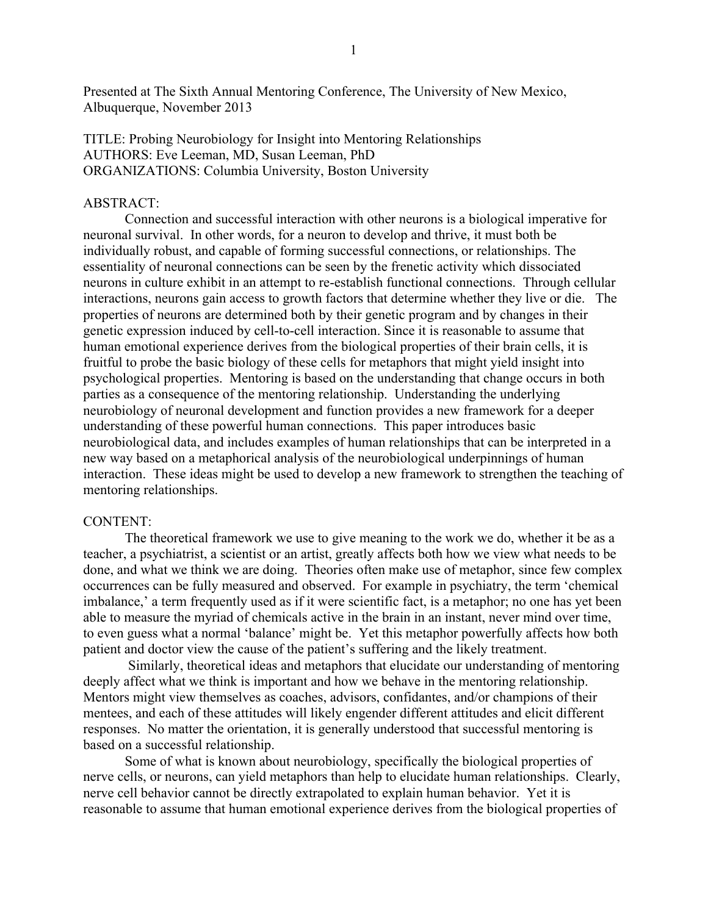Presented at The Sixth Annual Mentoring Conference, The University of New Mexico, Albuquerque, November 2013

TITLE: Probing Neurobiology for Insight into Mentoring Relationships AUTHORS: Eve Leeman, MD, Susan Leeman, PhD ORGANIZATIONS: Columbia University, Boston University

## ABSTRACT:

Connection and successful interaction with other neurons is a biological imperative for neuronal survival. In other words, for a neuron to develop and thrive, it must both be individually robust, and capable of forming successful connections, or relationships. The essentiality of neuronal connections can be seen by the frenetic activity which dissociated neurons in culture exhibit in an attempt to re-establish functional connections. Through cellular interactions, neurons gain access to growth factors that determine whether they live or die. The properties of neurons are determined both by their genetic program and by changes in their genetic expression induced by cell-to-cell interaction. Since it is reasonable to assume that human emotional experience derives from the biological properties of their brain cells, it is fruitful to probe the basic biology of these cells for metaphors that might yield insight into psychological properties. Mentoring is based on the understanding that change occurs in both parties as a consequence of the mentoring relationship. Understanding the underlying neurobiology of neuronal development and function provides a new framework for a deeper understanding of these powerful human connections. This paper introduces basic neurobiological data, and includes examples of human relationships that can be interpreted in a new way based on a metaphorical analysis of the neurobiological underpinnings of human interaction. These ideas might be used to develop a new framework to strengthen the teaching of mentoring relationships.

## CONTENT:

The theoretical framework we use to give meaning to the work we do, whether it be as a teacher, a psychiatrist, a scientist or an artist, greatly affects both how we view what needs to be done, and what we think we are doing. Theories often make use of metaphor, since few complex occurrences can be fully measured and observed. For example in psychiatry, the term 'chemical imbalance,' a term frequently used as if it were scientific fact, is a metaphor; no one has yet been able to measure the myriad of chemicals active in the brain in an instant, never mind over time, to even guess what a normal 'balance' might be. Yet this metaphor powerfully affects how both patient and doctor view the cause of the patient's suffering and the likely treatment.

Similarly, theoretical ideas and metaphors that elucidate our understanding of mentoring deeply affect what we think is important and how we behave in the mentoring relationship. Mentors might view themselves as coaches, advisors, confidantes, and/or champions of their mentees, and each of these attitudes will likely engender different attitudes and elicit different responses. No matter the orientation, it is generally understood that successful mentoring is based on a successful relationship.

Some of what is known about neurobiology, specifically the biological properties of nerve cells, or neurons, can yield metaphors than help to elucidate human relationships. Clearly, nerve cell behavior cannot be directly extrapolated to explain human behavior. Yet it is reasonable to assume that human emotional experience derives from the biological properties of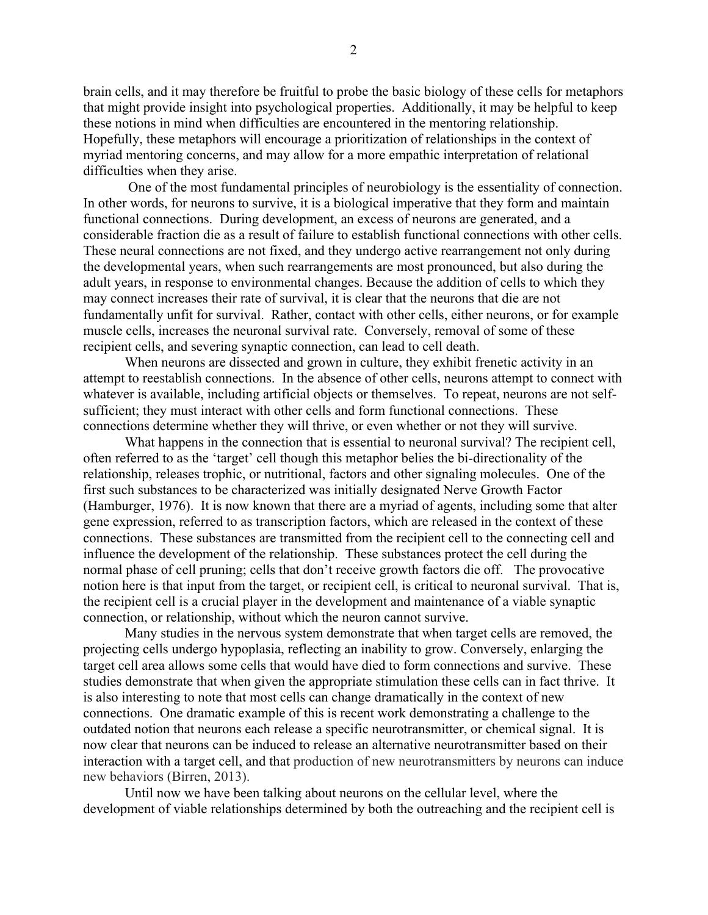2

brain cells, and it may therefore be fruitful to probe the basic biology of these cells for metaphors that might provide insight into psychological properties. Additionally, it may be helpful to keep these notions in mind when difficulties are encountered in the mentoring relationship. Hopefully, these metaphors will encourage a prioritization of relationships in the context of myriad mentoring concerns, and may allow for a more empathic interpretation of relational difficulties when they arise.

One of the most fundamental principles of neurobiology is the essentiality of connection. In other words, for neurons to survive, it is a biological imperative that they form and maintain functional connections. During development, an excess of neurons are generated, and a considerable fraction die as a result of failure to establish functional connections with other cells. These neural connections are not fixed, and they undergo active rearrangement not only during the developmental years, when such rearrangements are most pronounced, but also during the adult years, in response to environmental changes. Because the addition of cells to which they may connect increases their rate of survival, it is clear that the neurons that die are not fundamentally unfit for survival. Rather, contact with other cells, either neurons, or for example muscle cells, increases the neuronal survival rate. Conversely, removal of some of these recipient cells, and severing synaptic connection, can lead to cell death.

When neurons are dissected and grown in culture, they exhibit frenetic activity in an attempt to reestablish connections. In the absence of other cells, neurons attempt to connect with whatever is available, including artificial objects or themselves. To repeat, neurons are not selfsufficient; they must interact with other cells and form functional connections. These connections determine whether they will thrive, or even whether or not they will survive.

What happens in the connection that is essential to neuronal survival? The recipient cell, often referred to as the 'target' cell though this metaphor belies the bi-directionality of the relationship, releases trophic, or nutritional, factors and other signaling molecules. One of the first such substances to be characterized was initially designated Nerve Growth Factor (Hamburger, 1976). It is now known that there are a myriad of agents, including some that alter gene expression, referred to as transcription factors, which are released in the context of these connections. These substances are transmitted from the recipient cell to the connecting cell and influence the development of the relationship. These substances protect the cell during the normal phase of cell pruning; cells that don't receive growth factors die off. The provocative notion here is that input from the target, or recipient cell, is critical to neuronal survival. That is, the recipient cell is a crucial player in the development and maintenance of a viable synaptic connection, or relationship, without which the neuron cannot survive.

Many studies in the nervous system demonstrate that when target cells are removed, the projecting cells undergo hypoplasia, reflecting an inability to grow. Conversely, enlarging the target cell area allows some cells that would have died to form connections and survive. These studies demonstrate that when given the appropriate stimulation these cells can in fact thrive. It is also interesting to note that most cells can change dramatically in the context of new connections. One dramatic example of this is recent work demonstrating a challenge to the outdated notion that neurons each release a specific neurotransmitter, or chemical signal. It is now clear that neurons can be induced to release an alternative neurotransmitter based on their interaction with a target cell, and that production of new neurotransmitters by neurons can induce new behaviors (Birren, 2013).

Until now we have been talking about neurons on the cellular level, where the development of viable relationships determined by both the outreaching and the recipient cell is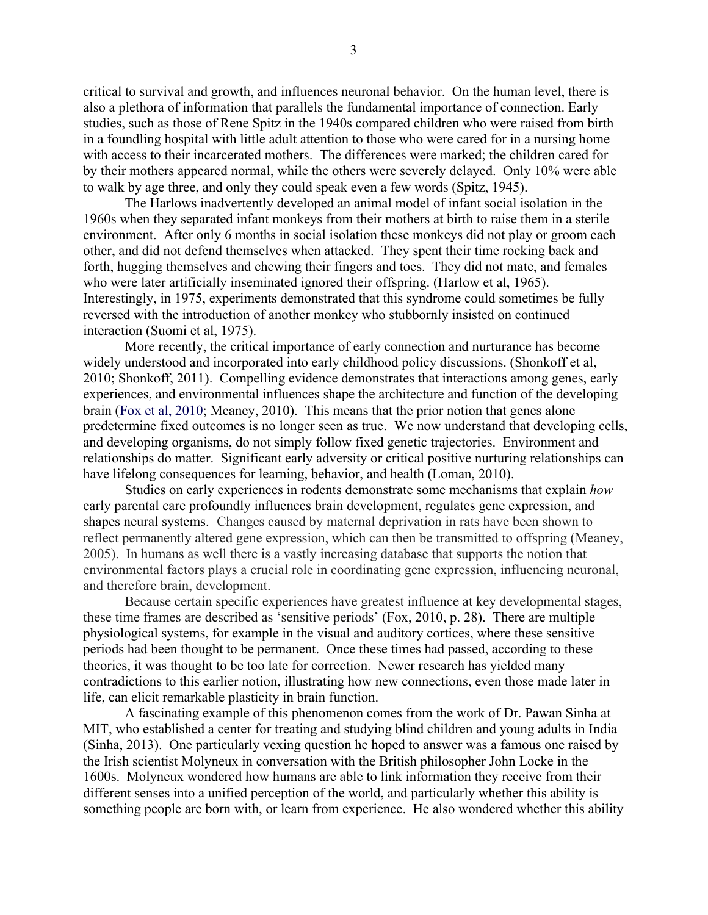critical to survival and growth, and influences neuronal behavior. On the human level, there is also a plethora of information that parallels the fundamental importance of connection. Early studies, such as those of Rene Spitz in the 1940s compared children who were raised from birth in a foundling hospital with little adult attention to those who were cared for in a nursing home with access to their incarcerated mothers. The differences were marked; the children cared for by their mothers appeared normal, while the others were severely delayed. Only 10% were able to walk by age three, and only they could speak even a few words (Spitz, 1945).

The Harlows inadvertently developed an animal model of infant social isolation in the 1960s when they separated infant monkeys from their mothers at birth to raise them in a sterile environment. After only 6 months in social isolation these monkeys did not play or groom each other, and did not defend themselves when attacked. They spent their time rocking back and forth, hugging themselves and chewing their fingers and toes. They did not mate, and females who were later artificially inseminated ignored their offspring. (Harlow et al, 1965). Interestingly, in 1975, experiments demonstrated that this syndrome could sometimes be fully reversed with the introduction of another monkey who stubbornly insisted on continued interaction (Suomi et al, 1975).

More recently, the critical importance of early connection and nurturance has become widely understood and incorporated into early childhood policy discussions. (Shonkoff et al, 2010; Shonkoff, 2011). Compelling evidence demonstrates that interactions among genes, early experiences, and environmental influences shape the architecture and function of the developing brain (Fox et al, 2010; Meaney, 2010). This means that the prior notion that genes alone predetermine fixed outcomes is no longer seen as true. We now understand that developing cells, and developing organisms, do not simply follow fixed genetic trajectories. Environment and relationships do matter. Significant early adversity or critical positive nurturing relationships can have lifelong consequences for learning, behavior, and health (Loman, 2010).

Studies on early experiences in rodents demonstrate some mechanisms that explain *how*  early parental care profoundly influences brain development, regulates gene expression, and shapes neural systems. Changes caused by maternal deprivation in rats have been shown to reflect permanently altered gene expression, which can then be transmitted to offspring (Meaney, 2005). In humans as well there is a vastly increasing database that supports the notion that environmental factors plays a crucial role in coordinating gene expression, influencing neuronal, and therefore brain, development.

Because certain specific experiences have greatest influence at key developmental stages, these time frames are described as 'sensitive periods' (Fox, 2010, p. 28). There are multiple physiological systems, for example in the visual and auditory cortices, where these sensitive periods had been thought to be permanent. Once these times had passed, according to these theories, it was thought to be too late for correction. Newer research has yielded many contradictions to this earlier notion, illustrating how new connections, even those made later in life, can elicit remarkable plasticity in brain function.

A fascinating example of this phenomenon comes from the work of Dr. Pawan Sinha at MIT, who established a center for treating and studying blind children and young adults in India (Sinha, 2013). One particularly vexing question he hoped to answer was a famous one raised by the Irish scientist Molyneux in conversation with the British philosopher John Locke in the 1600s. Molyneux wondered how humans are able to link information they receive from their different senses into a unified perception of the world, and particularly whether this ability is something people are born with, or learn from experience. He also wondered whether this ability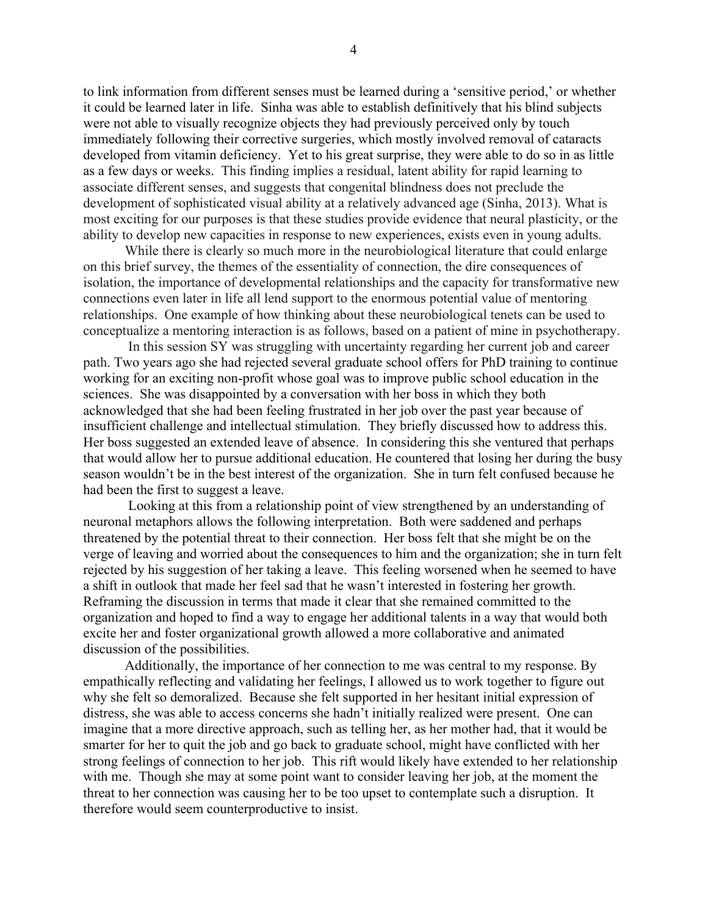to link information from different senses must be learned during a 'sensitive period,' or whether it could be learned later in life. Sinha was able to establish definitively that his blind subjects were not able to visually recognize objects they had previously perceived only by touch immediately following their corrective surgeries, which mostly involved removal of cataracts developed from vitamin deficiency. Yet to his great surprise, they were able to do so in as little as a few days or weeks. This finding implies a residual, latent ability for rapid learning to associate different senses, and suggests that congenital blindness does not preclude the development of sophisticated visual ability at a relatively advanced age (Sinha, 2013). What is most exciting for our purposes is that these studies provide evidence that neural plasticity, or the ability to develop new capacities in response to new experiences, exists even in young adults.

While there is clearly so much more in the neurobiological literature that could enlarge on this brief survey, the themes of the essentiality of connection, the dire consequences of isolation, the importance of developmental relationships and the capacity for transformative new connections even later in life all lend support to the enormous potential value of mentoring relationships. One example of how thinking about these neurobiological tenets can be used to conceptualize a mentoring interaction is as follows, based on a patient of mine in psychotherapy.

In this session SY was struggling with uncertainty regarding her current job and career path. Two years ago she had rejected several graduate school offers for PhD training to continue working for an exciting non-profit whose goal was to improve public school education in the sciences. She was disappointed by a conversation with her boss in which they both acknowledged that she had been feeling frustrated in her job over the past year because of insufficient challenge and intellectual stimulation. They briefly discussed how to address this. Her boss suggested an extended leave of absence. In considering this she ventured that perhaps that would allow her to pursue additional education. He countered that losing her during the busy season wouldn't be in the best interest of the organization. She in turn felt confused because he had been the first to suggest a leave.

Looking at this from a relationship point of view strengthened by an understanding of neuronal metaphors allows the following interpretation. Both were saddened and perhaps threatened by the potential threat to their connection. Her boss felt that she might be on the verge of leaving and worried about the consequences to him and the organization; she in turn felt rejected by his suggestion of her taking a leave. This feeling worsened when he seemed to have a shift in outlook that made her feel sad that he wasn't interested in fostering her growth. Reframing the discussion in terms that made it clear that she remained committed to the organization and hoped to find a way to engage her additional talents in a way that would both excite her and foster organizational growth allowed a more collaborative and animated discussion of the possibilities.

Additionally, the importance of her connection to me was central to my response. By empathically reflecting and validating her feelings, I allowed us to work together to figure out why she felt so demoralized. Because she felt supported in her hesitant initial expression of distress, she was able to access concerns she hadn't initially realized were present. One can imagine that a more directive approach, such as telling her, as her mother had, that it would be smarter for her to quit the job and go back to graduate school, might have conflicted with her strong feelings of connection to her job. This rift would likely have extended to her relationship with me. Though she may at some point want to consider leaving her job, at the moment the threat to her connection was causing her to be too upset to contemplate such a disruption. It therefore would seem counterproductive to insist.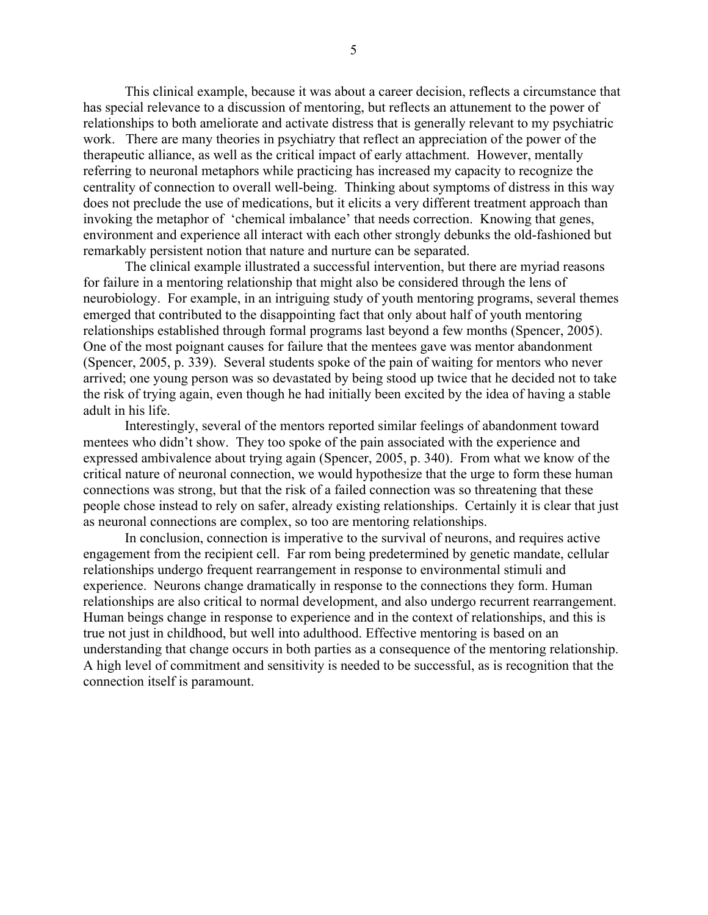This clinical example, because it was about a career decision, reflects a circumstance that has special relevance to a discussion of mentoring, but reflects an attunement to the power of relationships to both ameliorate and activate distress that is generally relevant to my psychiatric work. There are many theories in psychiatry that reflect an appreciation of the power of the therapeutic alliance, as well as the critical impact of early attachment. However, mentally referring to neuronal metaphors while practicing has increased my capacity to recognize the centrality of connection to overall well-being. Thinking about symptoms of distress in this way does not preclude the use of medications, but it elicits a very different treatment approach than invoking the metaphor of 'chemical imbalance' that needs correction. Knowing that genes, environment and experience all interact with each other strongly debunks the old-fashioned but remarkably persistent notion that nature and nurture can be separated.

The clinical example illustrated a successful intervention, but there are myriad reasons for failure in a mentoring relationship that might also be considered through the lens of neurobiology. For example, in an intriguing study of youth mentoring programs, several themes emerged that contributed to the disappointing fact that only about half of youth mentoring relationships established through formal programs last beyond a few months (Spencer, 2005). One of the most poignant causes for failure that the mentees gave was mentor abandonment (Spencer, 2005, p. 339). Several students spoke of the pain of waiting for mentors who never arrived; one young person was so devastated by being stood up twice that he decided not to take the risk of trying again, even though he had initially been excited by the idea of having a stable adult in his life.

Interestingly, several of the mentors reported similar feelings of abandonment toward mentees who didn't show. They too spoke of the pain associated with the experience and expressed ambivalence about trying again (Spencer, 2005, p. 340). From what we know of the critical nature of neuronal connection, we would hypothesize that the urge to form these human connections was strong, but that the risk of a failed connection was so threatening that these people chose instead to rely on safer, already existing relationships. Certainly it is clear that just as neuronal connections are complex, so too are mentoring relationships.

In conclusion, connection is imperative to the survival of neurons, and requires active engagement from the recipient cell. Far rom being predetermined by genetic mandate, cellular relationships undergo frequent rearrangement in response to environmental stimuli and experience. Neurons change dramatically in response to the connections they form. Human relationships are also critical to normal development, and also undergo recurrent rearrangement. Human beings change in response to experience and in the context of relationships, and this is true not just in childhood, but well into adulthood. Effective mentoring is based on an understanding that change occurs in both parties as a consequence of the mentoring relationship. A high level of commitment and sensitivity is needed to be successful, as is recognition that the connection itself is paramount.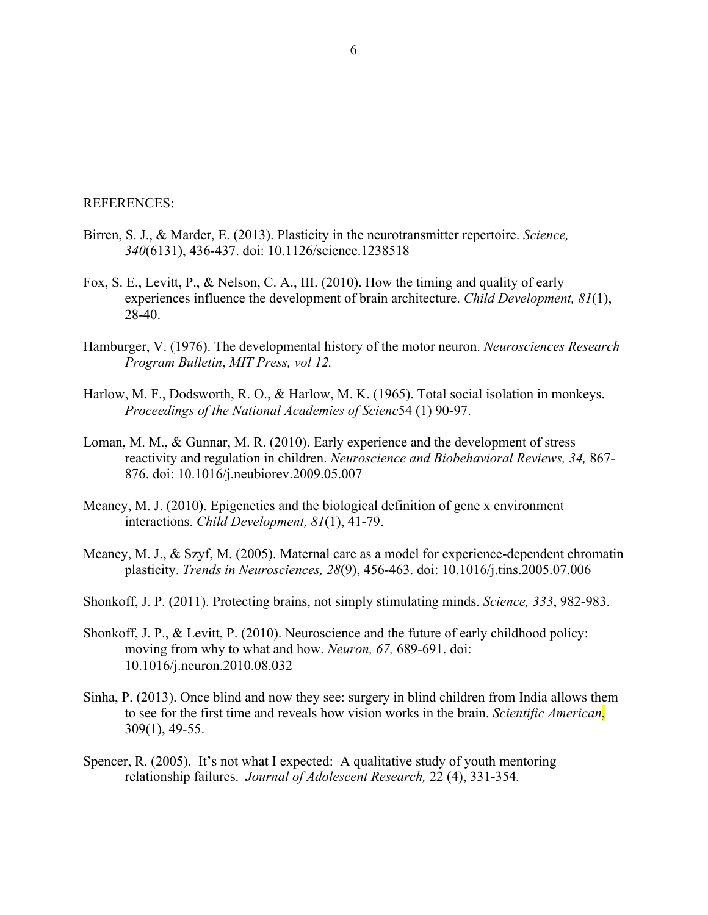## REFERENCES:

- Birren, S. J., & Marder, E. (2013). Plasticity in the neurotransmitter repertoire. *Science, 340*(6131), 436-437. doi: 10.1126/science.1238518
- Fox, S. E., Levitt, P., & Nelson, C. A., III. (2010). How the timing and quality of early experiences influence the development of brain architecture. *Child Development, 81*(1), 28-40.
- Hamburger, V. (1976). The developmental history of the motor neuron. *Neurosciences Research Program Bulletin*, *MIT Press, vol 12.*
- Harlow, M. F., Dodsworth, R. O., & Harlow, M. K. (1965). Total social isolation in monkeys. *Proceedings of the National Academies of Scienc*54 (1) 90-97.
- Loman, M. M., & Gunnar, M. R. (2010). Early experience and the development of stress reactivity and regulation in children. *Neuroscience and Biobehavioral Reviews, 34,* 867- 876. doi: 10.1016/j.neubiorev.2009.05.007
- Meaney, M. J. (2010). Epigenetics and the biological definition of gene x environment interactions. *Child Development, 81*(1), 41-79.
- Meaney, M. J., & Szyf, M. (2005). Maternal care as a model for experience-dependent chromatin plasticity. *Trends in Neurosciences, 28*(9), 456-463. doi: 10.1016/j.tins.2005.07.006
- Shonkoff, J. P. (2011). Protecting brains, not simply stimulating minds. *Science, 333*, 982-983.
- Shonkoff, J. P., & Levitt, P. (2010). Neuroscience and the future of early childhood policy: moving from why to what and how. *Neuron, 67,* 689-691. doi: 10.1016/j.neuron.2010.08.032
- Sinha, P. (2013). Once blind and now they see: surgery in blind children from India allows them to see for the first time and reveals how vision works in the brain. *Scientific American*, 309(1), 49-55.
- Spencer, R. (2005). It's not what I expected: A qualitative study of youth mentoring relationship failures. *Journal of Adolescent Research,* 22 (4), 331-354*.*